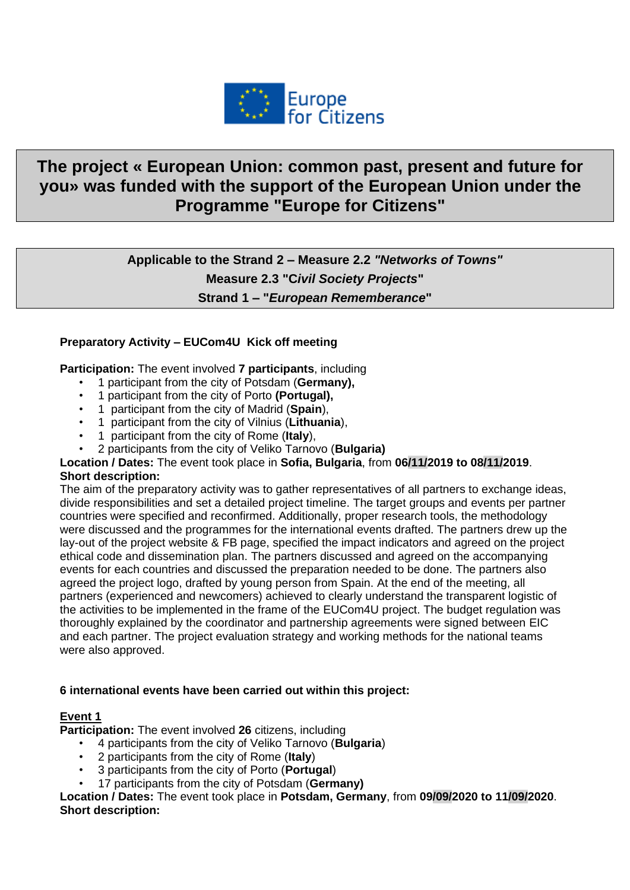

# **The project « European Union: common past, present and future for you» was funded with the support of the European Union under the Programme "Europe for Citizens"**

**Applicable to the Strand 2 – Measure 2.2** *"Networks of Towns"* **Measure 2.3 "C***ivil Society Projects***" Strand 1 – "***European Rememberance***"**

## **Preparatory Activity – EUCom4U Kick off meeting**

**Participation:** The event involved **7 participants**, including

- 1 participant from the city of Potsdam (**Germany),**
- 1 participant from the city of Porto **(Portugal),**
- 1 participant from the city of Madrid (**Spain**),
- 1 participant from the city of Vilnius (**Lithuania**),
- 1 participant from the city of Rome (**Italy**),
- 2 participants from the city of Veliko Tarnovo (**Bulgaria)**

#### **Location / Dates:** The event took place in **Sofia, Bulgaria**, from **06/11/2019 to 08/11/2019**. **Short description:**

The aim of the preparatory activity was to gather representatives of all partners to exchange ideas, divide responsibilities and set a detailed project timeline. The target groups and events per partner countries were specified and reconfirmed. Additionally, proper research tools, the methodology were discussed and the programmes for the international events drafted. The partners drew up the lay-out of the project website & FB page, specified the impact indicators and agreed on the project ethical code and dissemination plan. The partners discussed and agreed on the accompanying events for each countries and discussed the preparation needed to be done. The partners also agreed the project logo, drafted by young person from Spain. At the end of the meeting, all partners (experienced and newcomers) achieved to clearly understand the transparent logistic of the activities to be implemented in the frame of the EUCom4U project. The budget regulation was thoroughly explained by the coordinator and partnership agreements were signed between EIC and each partner. The project evaluation strategy and working methods for the national teams were also approved.

#### **6 international events have been carried out within this project:**

#### **Event 1**

**Participation:** The event involved **26** citizens, including

- 4 participants from the city of Veliko Tarnovo (**Bulgaria**)
- 2 participants from the city of Rome (**Italy**)
- 3 participants from the city of Porto (**Portugal**)
- 17 participants from the city of Potsdam (**Germany)**

**Location / Dates:** The event took place in **Potsdam, Germany**, from **09/09/2020 to 11/09/2020**. **Short description:**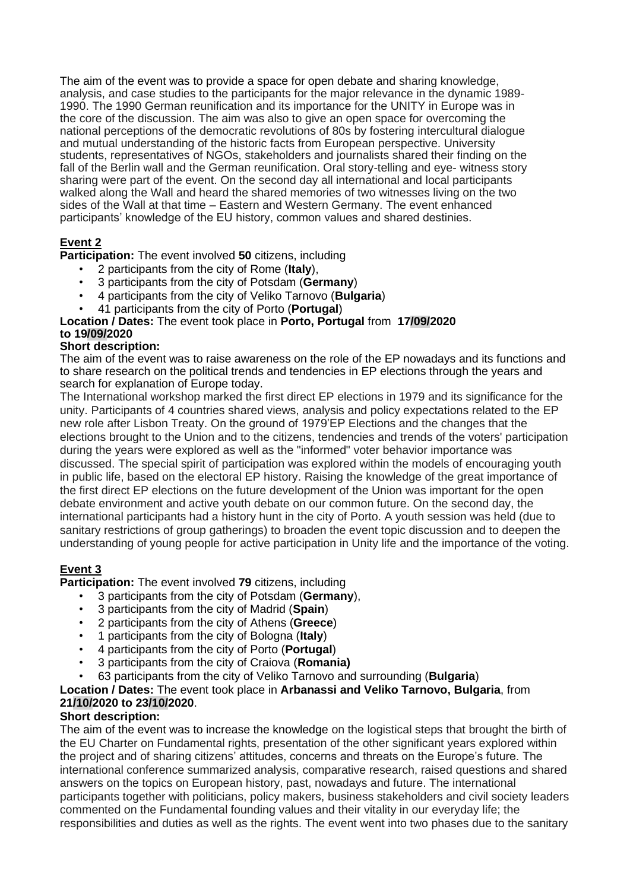The aim of the event was to provide a space for open debate and sharing knowledge, analysis, and case studies to the participants for the major relevance in the dynamic 1989- 1990. The 1990 German reunification and its importance for the UNITY in Europe was in the core of the discussion. The aim was also to give an open space for overcoming the national perceptions of the democratic revolutions of 80s by fostering intercultural dialogue and mutual understanding of the historic facts from European perspective. University students, representatives of NGOs, stakeholders and journalists shared their finding on the fall of the Berlin wall and the German reunification. Oral story-telling and eye- witness story sharing were part of the event. On the second day all international and local participants walked along the Wall and heard the shared memories of two witnesses living on the two sides of the Wall at that time – Eastern and Western Germany. The event enhanced participants' knowledge of the EU history, common values and shared destinies.

# **Event 2**

**Participation:** The event involved **50** citizens, including

- 2 participants from the city of Rome (**Italy**),
- 3 participants from the city of Potsdam (**Germany**)
- 4 participants from the city of Veliko Tarnovo (**Bulgaria**)
- 41 participants from the city of Porto (**Portugal**)

#### **Location / Dates:** The event took place in **Porto, Portugal** from **17/09/2020 to 19/09/2020**

#### **Short description:**

The aim of the event was to raise awareness on the role of the EP nowadays and its functions and to share research on the political trends and tendencies in EP elections through the years and search for explanation of Europe today.

The International workshop marked the first direct EP elections in 1979 and its significance for the unity. Participants of 4 countries shared views, analysis and policy expectations related to the EP new role after Lisbon Treaty. On the ground of 1979'EP Elections and the changes that the elections brought to the Union and to the citizens, tendencies and trends of the voters' participation during the years were explored as well as the "informed" voter behavior importance was discussed. The special spirit of participation was explored within the models of encouraging youth in public life, based on the electoral EP history. Raising the knowledge of the great importance of the first direct EP elections on the future development of the Union was important for the open debate environment and active youth debate on our common future. On the second day, the international participants had a history hunt in the city of Porto. A youth session was held (due to sanitary restrictions of group gatherings) to broaden the event topic discussion and to deepen the understanding of young people for active participation in Unity life and the importance of the voting.

# **Event 3**

**Participation:** The event involved **79** citizens, including

- 3 participants from the city of Potsdam (**Germany**),
- 3 participants from the city of Madrid (**Spain**)
- 2 participants from the city of Athens (**Greece**)
- 1 participants from the city of Bologna (**Italy**)
- 4 participants from the city of Porto (**Portugal**)
- 3 participants from the city of Craiova (**Romania)**
- 63 participants from the city of Veliko Tarnovo and surrounding (**Bulgaria**)

**Location / Dates:** The event took place in **Arbanassi and Veliko Tarnovo, Bulgaria**, from **21/10/2020 to 23/10/2020**.

## **Short description:**

The aim of the event was to increase the knowledge on the logistical steps that brought the birth of the EU Charter on Fundamental rights, presentation of the other significant years explored within the project and of sharing citizens' attitudes, concerns and threats on the Europe's future. The international conference summarized analysis, comparative research, raised questions and shared answers on the topics on European history, past, nowadays and future. The international participants together with politicians, policy makers, business stakeholders and civil society leaders commented on the Fundamental founding values and their vitality in our everyday life; the responsibilities and duties as well as the rights. The event went into two phases due to the sanitary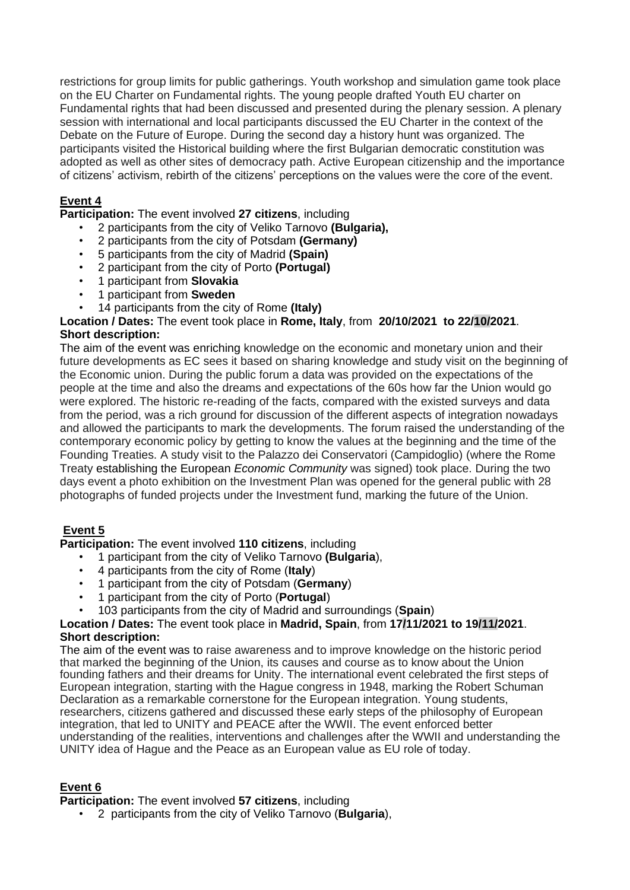restrictions for group limits for public gatherings. Youth workshop and simulation game took place on the EU Charter on Fundamental rights. The young people drafted Youth EU charter on Fundamental rights that had been discussed and presented during the plenary session. A plenary session with international and local participants discussed the EU Charter in the context of the Debate on the Future of Europe. During the second day a history hunt was organized. The participants visited the Historical building where the first Bulgarian democratic constitution was adopted as well as other sites of democracy path. Active European citizenship and the importance of citizens' activism, rebirth of the citizens' perceptions on the values were the core of the event.

# **Event 4**

**Participation:** The event involved **27 citizens**, including

- 2 participants from the city of Veliko Tarnovo **(Bulgaria),**
- 2 participants from the city of Potsdam **(Germany)**
- 5 participants from the city of Madrid **(Spain)**
- 2 participant from the city of Porto **(Portugal)**
- 1 participant from **Slovakia**
- 1 participant from **Sweden**
- 14 participants from the city of Rome **(Italy)**

**Location / Dates:** The event took place in **Rome, Italy**, from **20/10/2021 to 22/10/2021**. **Short description:**

The aim of the event was enriching knowledge on the economic and monetary union and their future developments as EC sees it based on sharing knowledge and study visit on the beginning of the Economic union. During the public forum a data was provided on the expectations of the people at the time and also the dreams and expectations of the 60s how far the Union would go were explored. The historic re-reading of the facts, compared with the existed surveys and data from the period, was a rich ground for discussion of the different aspects of integration nowadays and allowed the participants to mark the developments. The forum raised the understanding of the contemporary economic policy by getting to know the values at the beginning and the time of the Founding Treaties. A study visit to the Palazzo dei Conservatori (Campidoglio) (where the Rome Treaty establishing the European *Economic Community* was signed) took place. During the two days event a photo exhibition on the Investment Plan was opened for the general public with 28 photographs of funded projects under the Investment fund, marking the future of the Union.

# **Event 5**

**Participation:** The event involved **110 citizens**, including

- 1 participant from the city of Veliko Tarnovo **(Bulgaria**),
- 4 participants from the city of Rome (**Italy**)
- 1 participant from the city of Potsdam (**Germany**)
- 1 participant from the city of Porto (**Portugal**)
- 103 participants from the city of Madrid and surroundings (**Spain**)

## **Location / Dates:** The event took place in **Madrid, Spain**, from **17/11/2021 to 19/11/2021**. **Short description:**

The aim of the event was to raise awareness and to improve knowledge on the historic period that marked the beginning of the Union, its causes and course as to know about the Union founding fathers and their dreams for Unity. The international event celebrated the first steps of European integration, starting with the Hague congress in 1948, marking the Robert Schuman Declaration as a remarkable cornerstone for the European integration. Young students, researchers, citizens gathered and discussed these early steps of the philosophy of European integration, that led to UNITY and PEACE after the WWII. The event enforced better understanding of the realities, interventions and challenges after the WWII and understanding the UNITY idea of Hague and the Peace as an European value as EU role of today.

# **Event 6**

**Participation:** The event involved **57 citizens**, including

• 2 participants from the city of Veliko Tarnovo (**Bulgaria**),